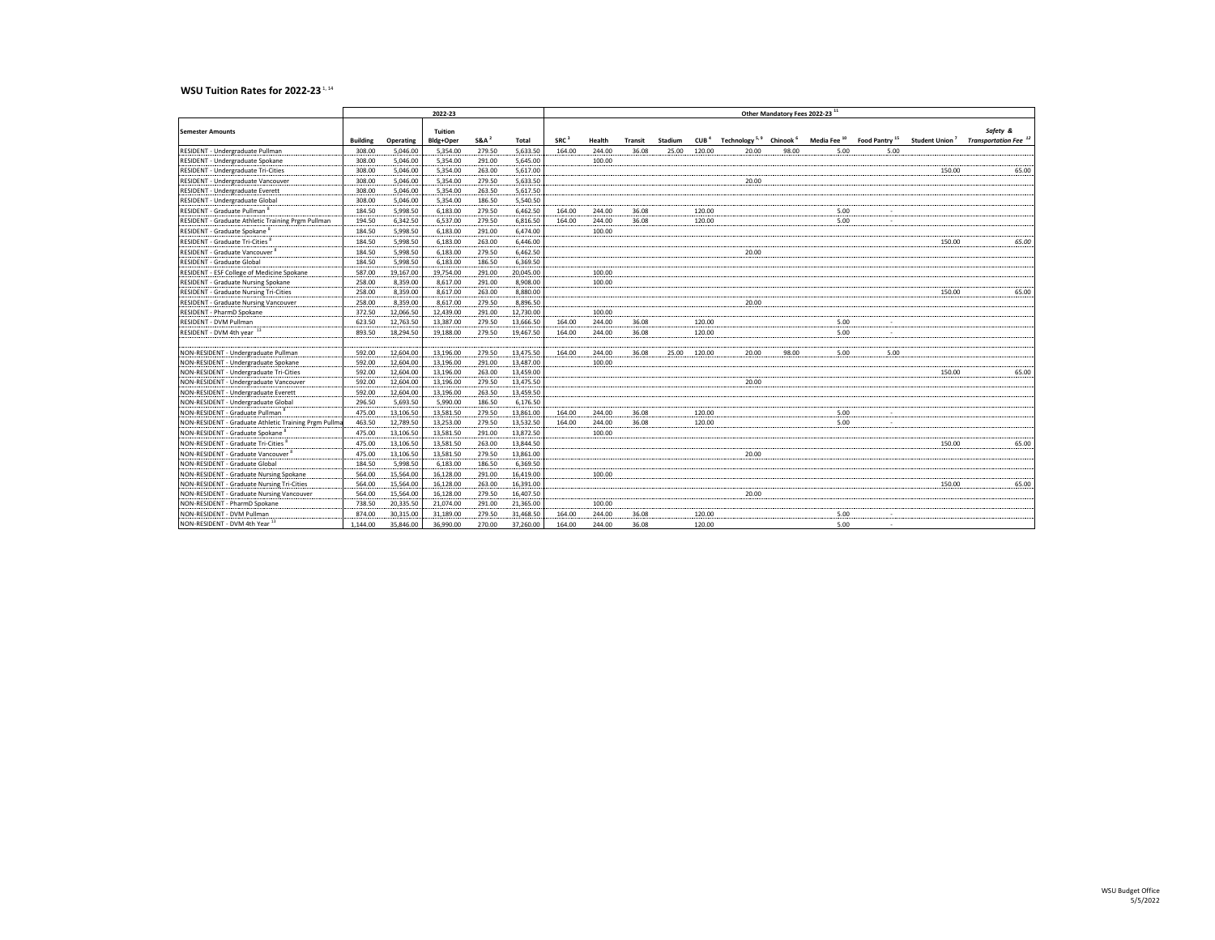## **WSU Tuition Rates for 2022-23**<sup>1,14</sup>

|                                                      | 2022-23         |           |                      |                  |           |                  | Other Mandatory Fees 2022-23 11 |                |         |        |       |       |      |                                                                                                                   |        |                                                                         |  |
|------------------------------------------------------|-----------------|-----------|----------------------|------------------|-----------|------------------|---------------------------------|----------------|---------|--------|-------|-------|------|-------------------------------------------------------------------------------------------------------------------|--------|-------------------------------------------------------------------------|--|
|                                                      |                 |           |                      |                  |           |                  |                                 |                |         |        |       |       |      |                                                                                                                   |        |                                                                         |  |
| <b>Semester Amounts</b>                              | <b>Building</b> | Operating | Tuition<br>Bldg+Oper | SRA <sup>2</sup> | Total     | SRC <sup>3</sup> | Health                          | <b>Transit</b> | Stadium |        |       |       |      | CUB <sup>4</sup> Technology <sup>5,9</sup> Chinook <sup>6</sup> Media Fee <sup>10</sup> Food Pantry <sup>15</sup> |        | Safety &<br>Student Union <sup>7</sup> Transportation Fee <sup>12</sup> |  |
| RESIDENT - Undergraduate Pullman                     | 308.00          | 5.046.00  | 5.354.00             | 279.50           | 5,633.50  | 164.00           | 244.00                          | 36.08          | 25.00   | 120.00 | 20.00 | 98.00 | 5.00 | 5.00                                                                                                              |        |                                                                         |  |
| RESIDENT - Undergraduate Spokane                     | 308.00          | 5,046.00  | 5,354.00             | 291.00           | 5,645.00  |                  | 100.00                          |                |         |        |       |       |      |                                                                                                                   |        |                                                                         |  |
| RESIDENT - Undergraduate Tri-Cities                  | 308.00          | 5,046.00  | 5,354.00             | 263.00           | 5,617.00  |                  |                                 |                |         |        |       |       |      |                                                                                                                   | 150.00 | 65.00                                                                   |  |
| RESIDENT - Undergraduate Vancouver                   | 308.00          | 5,046.00  | 5,354.00             | 279.50           | 5,633.50  |                  |                                 |                |         |        | 20.00 |       |      |                                                                                                                   |        |                                                                         |  |
| RESIDENT - Undergraduate Everett                     | 308.00          | 5,046.00  | 5,354.00             | 263.50           | 5,617.50  |                  |                                 |                |         |        |       |       |      |                                                                                                                   |        |                                                                         |  |
| RESIDENT - Undergraduate Global                      | 308.00          | 5,046.00  | 5,354.00             | 186.50           | 5,540.50  |                  |                                 |                |         |        |       |       |      |                                                                                                                   |        |                                                                         |  |
| RESIDENT - Graduate Pullman <sup>8</sup>             | 184.50          | 5.998.50  | 6,183,00             | 279.50           | 6,462.50  | 164.00           | 244.00                          | 36.08          |         | 120.00 |       |       | 5.00 |                                                                                                                   |        |                                                                         |  |
| RESIDENT - Graduate Athletic Training Prgm Pullman   | 194.50          | 6,342.50  | 6,537.00             | 279.50           | 6,816.50  | 164.00           | 244.00                          | 36.08          |         | 120.00 |       |       | 5.00 |                                                                                                                   |        |                                                                         |  |
| RESIDENT - Graduate Spokane                          | 184.50          | 5,998.50  | 6,183.00             | 291.00           | 6,474.00  |                  | 100.00                          |                |         |        |       |       |      |                                                                                                                   |        |                                                                         |  |
| RESIDENT - Graduate Tri-Cities                       | 184.50          | 5.998.50  | 6,183,00             | 263.00           | 6.446.00  |                  |                                 |                |         |        |       |       |      |                                                                                                                   | 150.00 | 65.00                                                                   |  |
| RESIDENT - Graduate Vancouver                        | 184.50          | 5,998.50  | 6,183.00             | 279.50           | 6,462.50  |                  |                                 |                |         |        | 20.00 |       |      |                                                                                                                   |        |                                                                         |  |
| RESIDENT - Graduate Global                           | 184.50          | 5,998.50  | 6,183.00             | 186.50           | 6,369.50  |                  |                                 |                |         |        |       |       |      |                                                                                                                   |        |                                                                         |  |
| RESIDENT - ESF College of Medicine Spokane           | 587.00          | 19,167.00 | 19,754.00            | 291.00           | 20,045.00 |                  | 100.00                          |                |         |        |       |       |      |                                                                                                                   |        |                                                                         |  |
| RESIDENT - Graduate Nursing Spokane                  | 258.00          | 8,359.00  | 8,617.00             | 291.00           | 8,908.00  |                  | 100.00                          |                |         |        |       |       |      |                                                                                                                   |        |                                                                         |  |
| <b>RESIDENT - Graduate Nursing Tri-Cities</b>        | 258.00          | 8,359.00  | 8,617.00             | 263.00           | 8,880.00  |                  |                                 |                |         |        |       |       |      |                                                                                                                   | 150.00 | 65.00                                                                   |  |
| RESIDENT - Graduate Nursing Vancouver                | 258.00          | 8,359.00  | 8,617.00             | 279.50           | 8,896.50  |                  |                                 |                |         |        | 20.00 |       |      |                                                                                                                   |        |                                                                         |  |
| RESIDENT - PharmD Spokane                            | 372.50          | 12,066.50 | 12,439.00            | 291.00           | 12,730.00 |                  | 100.00                          |                |         |        |       |       |      |                                                                                                                   |        |                                                                         |  |
| RESIDENT - DVM Pullman                               | 623.50          | 12,763.50 | 13,387.00            | 279.50           | 13,666.50 | 164.00           | 244.00                          | 36.08          |         | 120.00 |       |       | 5.00 |                                                                                                                   |        |                                                                         |  |
| RESIDENT - DVM 4th year 13                           | 893.50          | 18,294.50 | 19,188.00            | 279.50           | 19,467.50 | 164.00           | 244.00                          | 36.08          |         | 120.00 |       |       | 5.00 |                                                                                                                   |        |                                                                         |  |
|                                                      |                 |           |                      |                  |           |                  |                                 |                |         |        |       |       |      |                                                                                                                   |        |                                                                         |  |
| NON-RESIDENT - Undergraduate Pullman                 | 592.00          | 12,604.00 | 13,196.00            | 279.50           | 13,475.50 | 164.00           | 244.00                          | 36.08          | 25.00   | 120.00 | 20.00 | 98.00 | 5.00 | 5.00                                                                                                              |        |                                                                         |  |
| NON-RESIDENT - Undergraduate Spokane                 | 592.00          | 12,604.00 | 13,196.00            | 291.00           | 13,487.00 |                  | 100.00                          |                |         |        |       |       |      |                                                                                                                   |        |                                                                         |  |
| NON-RESIDENT - Undergraduate Tri-Cities              | 592.00          | 12,604.00 | 13,196.00            | 263.00           | 13,459.00 |                  |                                 |                |         |        |       |       |      |                                                                                                                   | 150.00 | 65.00                                                                   |  |
| NON-RESIDENT - Undergraduate Vancouver               | 592.00          | 12,604.00 | 13,196.00            | 279.50           | 13,475.50 |                  |                                 |                |         |        | 20.00 |       |      |                                                                                                                   |        |                                                                         |  |
| NON-RESIDENT - Undergraduate Everett                 | 592.00          | 12,604.00 | 13.196.00            | 263.50           | 13,459.50 |                  |                                 |                |         |        |       |       |      |                                                                                                                   |        |                                                                         |  |
| NON-RESIDENT - Undergraduate Global                  | 296.50          | 5,693.50  | 5,990.00             | 186.50           | 6,176.50  |                  |                                 |                |         |        |       |       |      |                                                                                                                   |        |                                                                         |  |
| NON-RESIDENT - Graduate Pullman                      | 475.00          | 13,106.50 | 13,581.50            | 279.50           | 13,861.00 | 164.00           | 244.00                          | 36.08          |         | 120.00 |       |       | 5.00 |                                                                                                                   |        |                                                                         |  |
| NON-RESIDENT - Graduate Athletic Training Prgm Pullm | 463.50          | 12,789.50 | 13,253.00            | 279.50           | 13,532.50 | 164.00           | 244.00                          | 36.08          |         | 120.00 |       |       | 5.00 |                                                                                                                   |        |                                                                         |  |
| NON-RESIDENT - Graduate Spokane                      | 475.00          | 13,106.50 | 13,581.50            | 291.00           | 13,872.50 |                  | 100.00                          |                |         |        |       |       |      |                                                                                                                   |        |                                                                         |  |
| NON-RESIDENT - Graduate Tri-Cities                   | 475.00          | 13,106.50 | 13,581.50            | 263.00           | 13,844.50 |                  |                                 |                |         |        |       |       |      |                                                                                                                   | 150.00 | 65.00                                                                   |  |
| NON-RESIDENT - Graduate Vancouver                    | 475.00          | 13.106.50 | 13.581.50            | 279.50           | 13,861.00 |                  |                                 |                |         |        | 20.00 |       |      |                                                                                                                   |        |                                                                         |  |
| NON-RESIDENT - Graduate Global                       | 184.50          | 5,998.50  | 6,183.00             | 186.50           | 6,369.50  |                  |                                 |                |         |        |       |       |      |                                                                                                                   |        |                                                                         |  |
| NON-RESIDENT - Graduate Nursing Spokane              | 564.00          | 15,564.00 | 16,128.00            | 291.00           | 16,419.00 |                  | 100.00                          |                |         |        |       |       |      |                                                                                                                   |        | -------                                                                 |  |
| NON-RESIDENT - Graduate Nursing Tri-Cities           | 564.00          | 15,564.00 | 16,128.00            | 263.00           | 16,391.00 |                  |                                 |                |         |        |       |       |      |                                                                                                                   | 150.00 | 65.00                                                                   |  |
| NON-RESIDENT - Graduate Nursing Vancouver            | 564.00          | 15,564.00 | 16,128.00            | 279.50           | 16,407.50 |                  |                                 |                |         |        | 20.00 |       |      |                                                                                                                   |        |                                                                         |  |
| NON-RESIDENT - PharmD Spokane                        | 738.50          | 20,335.50 | 21,074.00            | 291.00           | 21,365.00 |                  | 100.00                          |                |         |        |       |       |      |                                                                                                                   |        |                                                                         |  |
| NON-RESIDENT - DVM Pullman                           | 874.00          | 30,315.00 | 31,189.00            | 279.50           | 31,468.50 | 164.00           | 244.00                          | 36.08          |         | 120.00 |       |       | 5.00 |                                                                                                                   |        |                                                                         |  |
| NON-RESIDENT - DVM 4th Year <sup>13</sup>            | 1.144.00        | 35.846.00 | 36,990.00            | 270.00           | 37,260,00 | 164.00           | 244.00                          | 36.08          |         | 120.00 |       |       | 5.00 |                                                                                                                   |        |                                                                         |  |